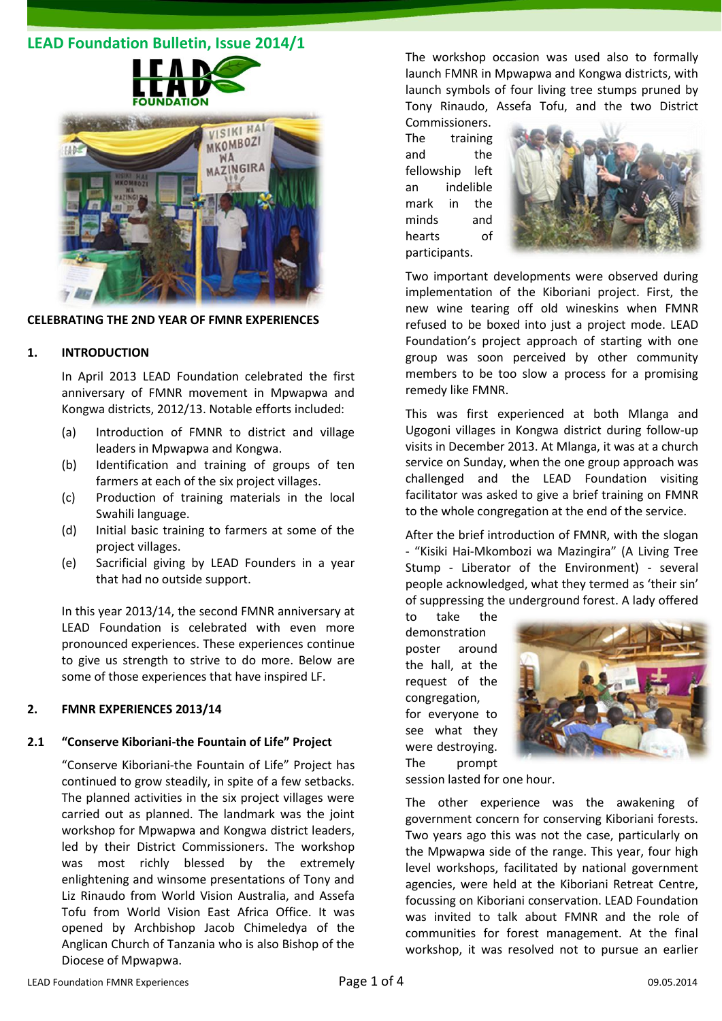# **LEAD Foundation Bulletin, Issue 2014/1**



#### **CELEBRATING THE 2ND YEAR OF FMNR EXPERIENCES**

#### **1. INTRODUCTION**

In April 2013 LEAD Foundation celebrated the first anniversary of FMNR movement in Mpwapwa and Kongwa districts, 2012/13. Notable efforts included:

- (a) Introduction of FMNR to district and village leaders in Mpwapwa and Kongwa.
- (b) Identification and training of groups of ten farmers at each of the six project villages.
- (c) Production of training materials in the local Swahili language.
- (d) Initial basic training to farmers at some of the project villages.
- (e) Sacrificial giving by LEAD Founders in a year that had no outside support.

In this year 2013/14, the second FMNR anniversary at LEAD Foundation is celebrated with even more pronounced experiences. These experiences continue to give us strength to strive to do more. Below are some of those experiences that have inspired LF.

## **2. FMNR EXPERIENCES 2013/14**

#### **2.1 "Conserve Kiboriani-the Fountain of Life" Project**

"Conserve Kiboriani-the Fountain of Life" Project has continued to grow steadily, in spite of a few setbacks. The planned activities in the six project villages were carried out as planned. The landmark was the joint workshop for Mpwapwa and Kongwa district leaders, led by their District Commissioners. The workshop was most richly blessed by the extremely enlightening and winsome presentations of Tony and Liz Rinaudo from World Vision Australia, and Assefa Tofu from World Vision East Africa Office. It was opened by Archbishop Jacob Chimeledya of the Anglican Church of Tanzania who is also Bishop of the Diocese of Mpwapwa.

The workshop occasion was used also to formally launch FMNR in Mpwapwa and Kongwa districts, with launch symbols of four living tree stumps pruned by Tony Rinaudo, Assefa Tofu, and the two District

Commissioners. The training and the fellowship left an indelible mark in the minds and hearts of participants.



Two important developments were observed during implementation of the Kiboriani project. First, the new wine tearing off old wineskins when FMNR refused to be boxed into just a project mode. LEAD Foundation's project approach of starting with one group was soon perceived by other community members to be too slow a process for a promising remedy like FMNR.

This was first experienced at both Mlanga and Ugogoni villages in Kongwa district during follow-up visits in December 2013. At Mlanga, it was at a church service on Sunday, when the one group approach was challenged and the LEAD Foundation visiting facilitator was asked to give a brief training on FMNR to the whole congregation at the end of the service.

After the brief introduction of FMNR, with the slogan - "Kisiki Hai-Mkombozi wa Mazingira" (A Living Tree Stump - Liberator of the Environment) - several people acknowledged, what they termed as 'their sin' of suppressing the underground forest. A lady offered

to take the demonstration poster around the hall, at the request of the congregation, for everyone to see what they were destroying. The prompt



session lasted for one hour.

The other experience was the awakening of government concern for conserving Kiboriani forests. Two years ago this was not the case, particularly on the Mpwapwa side of the range. This year, four high level workshops, facilitated by national government agencies, were held at the Kiboriani Retreat Centre, focussing on Kiboriani conservation. LEAD Foundation was invited to talk about FMNR and the role of communities for forest management. At the final workshop, it was resolved not to pursue an earlier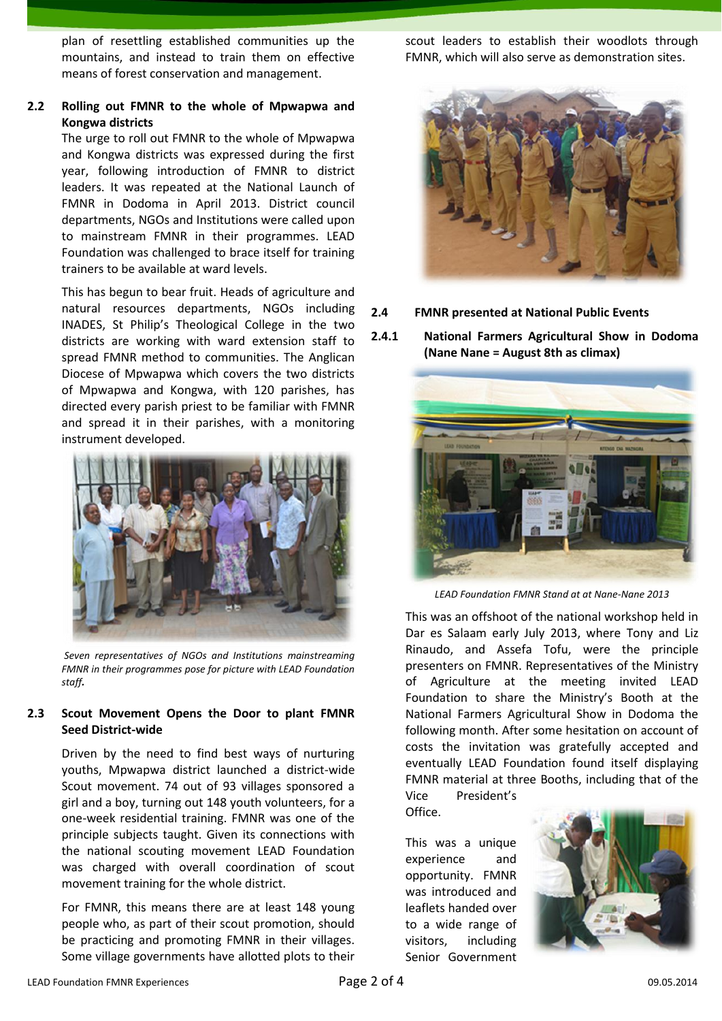plan of resettling established communities up the mountains, and instead to train them on effective means of forest conservation and management.

## **2.2 Rolling out FMNR to the whole of Mpwapwa and Kongwa districts**

The urge to roll out FMNR to the whole of Mpwapwa and Kongwa districts was expressed during the first year, following introduction of FMNR to district leaders. It was repeated at the National Launch of FMNR in Dodoma in April 2013. District council departments, NGOs and Institutions were called upon to mainstream FMNR in their programmes. LEAD Foundation was challenged to brace itself for training trainers to be available at ward levels.

This has begun to bear fruit. Heads of agriculture and natural resources departments, NGOs including INADES, St Philip's Theological College in the two districts are working with ward extension staff to spread FMNR method to communities. The Anglican Diocese of Mpwapwa which covers the two districts of Mpwapwa and Kongwa, with 120 parishes, has directed every parish priest to be familiar with FMNR and spread it in their parishes, with a monitoring instrument developed.



*Seven representatives of NGOs and Institutions mainstreaming FMNR in their programmes pose for picture with LEAD Foundation staff.*

## **2.3 Scout Movement Opens the Door to plant FMNR Seed District-wide**

Driven by the need to find best ways of nurturing youths, Mpwapwa district launched a district-wide Scout movement. 74 out of 93 villages sponsored a girl and a boy, turning out 148 youth volunteers, for a one-week residential training. FMNR was one of the principle subjects taught. Given its connections with the national scouting movement LEAD Foundation was charged with overall coordination of scout movement training for the whole district.

For FMNR, this means there are at least 148 young people who, as part of their scout promotion, should be practicing and promoting FMNR in their villages. Some village governments have allotted plots to their scout leaders to establish their woodlots through FMNR, which will also serve as demonstration sites.



- **2.4 FMNR presented at National Public Events**
- **2.4.1 National Farmers Agricultural Show in Dodoma (Nane Nane = August 8th as climax)**



*LEAD Foundation FMNR Stand at at Nane-Nane 2013*

This was an offshoot of the national workshop held in Dar es Salaam early July 2013, where Tony and Liz Rinaudo, and Assefa Tofu, were the principle presenters on FMNR. Representatives of the Ministry of Agriculture at the meeting invited LEAD Foundation to share the Ministry's Booth at the National Farmers Agricultural Show in Dodoma the following month. After some hesitation on account of costs the invitation was gratefully accepted and eventually LEAD Foundation found itself displaying FMNR material at three Booths, including that of the

Vice President's Office.

This was a unique experience and opportunity. FMNR was introduced and leaflets handed over to a wide range of visitors, including Senior Government

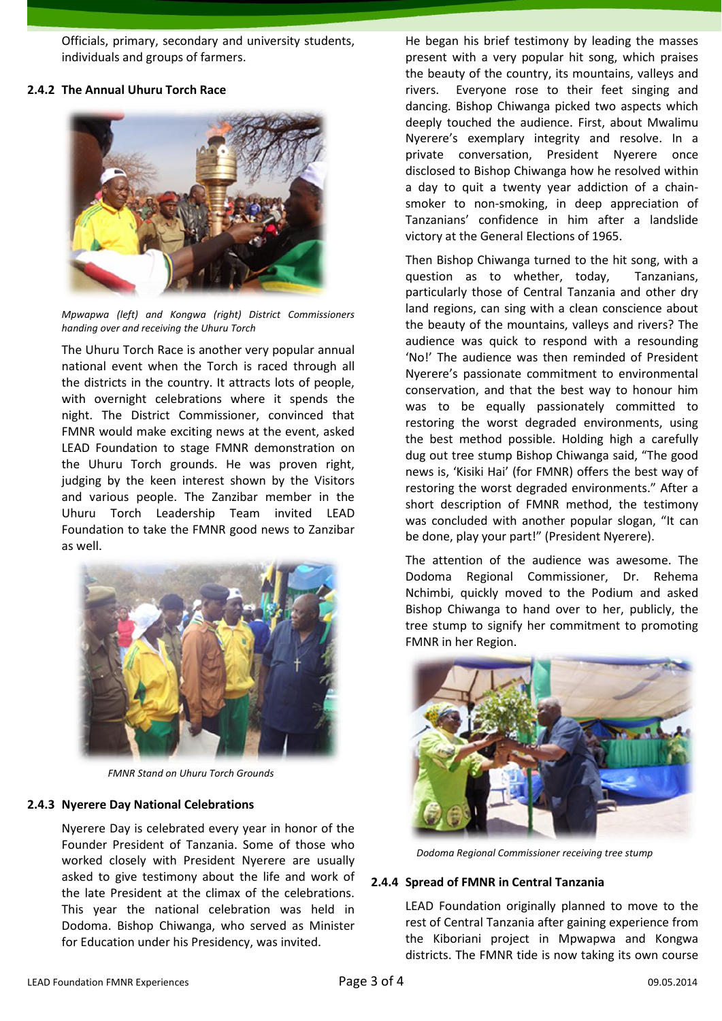Officials, primary, secondary and university students, individuals and groups of farmers.

#### **2.4.2 The Annual Uhuru Torch Race**



*Mpwapwa (left) and Kongwa (right) District Commissioners handing over and receiving the Uhuru Torch*

The Uhuru Torch Race is another very popular annual national event when the Torch is raced through all the districts in the country. It attracts lots of people, with overnight celebrations where it spends the night. The District Commissioner, convinced that FMNR would make exciting news at the event, asked LEAD Foundation to stage FMNR demonstration on the Uhuru Torch grounds. He was proven right, judging by the keen interest shown by the Visitors and various people. The Zanzibar member in the Uhuru Torch Leadership Team invited LEAD Foundation to take the FMNR good news to Zanzibar as well.



*FMNR Stand on Uhuru Torch Grounds*

#### **2.4.3 Nyerere Day National Celebrations**

Nyerere Day is celebrated every year in honor of the Founder President of Tanzania. Some of those who worked closely with President Nyerere are usually asked to give testimony about the life and work of the late President at the climax of the celebrations. This year the national celebration was held in Dodoma. Bishop Chiwanga, who served as Minister for Education under his Presidency, was invited.

He began his brief testimony by leading the masses present with a very popular hit song, which praises the beauty of the country, its mountains, valleys and rivers. Everyone rose to their feet singing and dancing. Bishop Chiwanga picked two aspects which deeply touched the audience. First, about Mwalimu Nyerere's exemplary integrity and resolve. In a private conversation, President Nyerere once disclosed to Bishop Chiwanga how he resolved within a day to quit a twenty year addiction of a chainsmoker to non-smoking, in deep appreciation of Tanzanians' confidence in him after a landslide victory at the General Elections of 1965.

Then Bishop Chiwanga turned to the hit song, with a question as to whether, today, Tanzanians, particularly those of Central Tanzania and other dry land regions, can sing with a clean conscience about the beauty of the mountains, valleys and rivers? The audience was quick to respond with a resounding 'No!' The audience was then reminded of President Nyerere's passionate commitment to environmental conservation, and that the best way to honour him was to be equally passionately committed to restoring the worst degraded environments, using the best method possible. Holding high a carefully dug out tree stump Bishop Chiwanga said, "The good news is, 'Kisiki Hai' (for FMNR) offers the best way of restoring the worst degraded environments." After a short description of FMNR method, the testimony was concluded with another popular slogan, "It can be done, play your part!" (President Nyerere).

The attention of the audience was awesome. The Dodoma Regional Commissioner, Dr. Rehema Nchimbi, quickly moved to the Podium and asked Bishop Chiwanga to hand over to her, publicly, the tree stump to signify her commitment to promoting FMNR in her Region.



*Dodoma Regional Commissioner receiving tree stump*

#### **2.4.4 Spread of FMNR in Central Tanzania**

LEAD Foundation originally planned to move to the rest of Central Tanzania after gaining experience from the Kiboriani project in Mpwapwa and Kongwa districts. The FMNR tide is now taking its own course